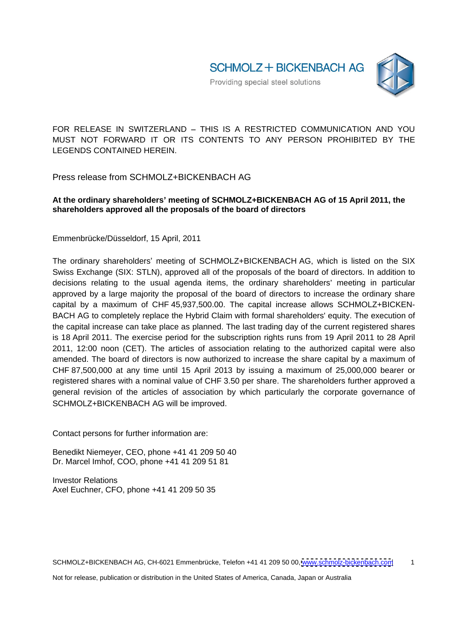FOR RELEASE IN SWITZERLAND - THIS IS A RESTRICTED COMMUNICATION AND YOU MUST NOT FORWARD IT OR ITS CONTENTS TO ANY PERSON PROHIBITED BY THE LEGENDS CONTAINED HEREIN.

Press release from SCHMOLZ+BICKENBACH AG

## **At the ordinary shareholders meeting of SCHMOLZ+BICKENBACH AG of 15 April 2011, the shareholders approved all the proposals of the board of directors**

Emmenbrücke/Düsseldorf, 15 April, 2011

The ordinary shareholders' meeting of SCHMOLZ+BICKENBACH AG, which is listed on the SIX Swiss Exchange (SIX: STLN), approved all of the proposals of the board of directors. In addition to decisions relating to the usual agenda items, the ordinary shareholders' meeting in particular approved by a large majority the proposal of the board of directors to increase the ordinary share capital by a maximum of CHF 45,937,500.00. The capital increase allows SCHMOLZ+BICKEN- BACH AG to completely replace the Hybrid Claim with formal shareholders' equity. The execution of the capital increase can take place as planned. The last trading day of the current registered shares is 18 April 2011. The exercise period for the subscription rights runs from 19 April 2011 to 28 April 2011, 12:00 noon (CET). The articles of association relating to the authorized capital were also amended. The board of directors is now authorized to increase the share capital by a maximum of CHF 87,500,000 at any time until 15 April 2013 by issuing a maximum of 25,000,000 bearer or registered shares with a nominal value of CHF 3.50 per share. The shareholders further approved a general revision of the articles of association by which particularly the corporate governance of SCHMOLZ+BICKENBACH AG will be improved.

Contact persons for further information are:

Benedikt Niemeyer, CEO, phone +41 41 209 50 40 Dr. Marcel Imhof, COO, phone +41 41 209 51 81

Investor Relations **Exercise 2018 Investor Relations** Axel Euchner, CFO, phone +41 41 209 50 35

Not for release, publication or distribution in the United States of America, Canada, Japan or Australia